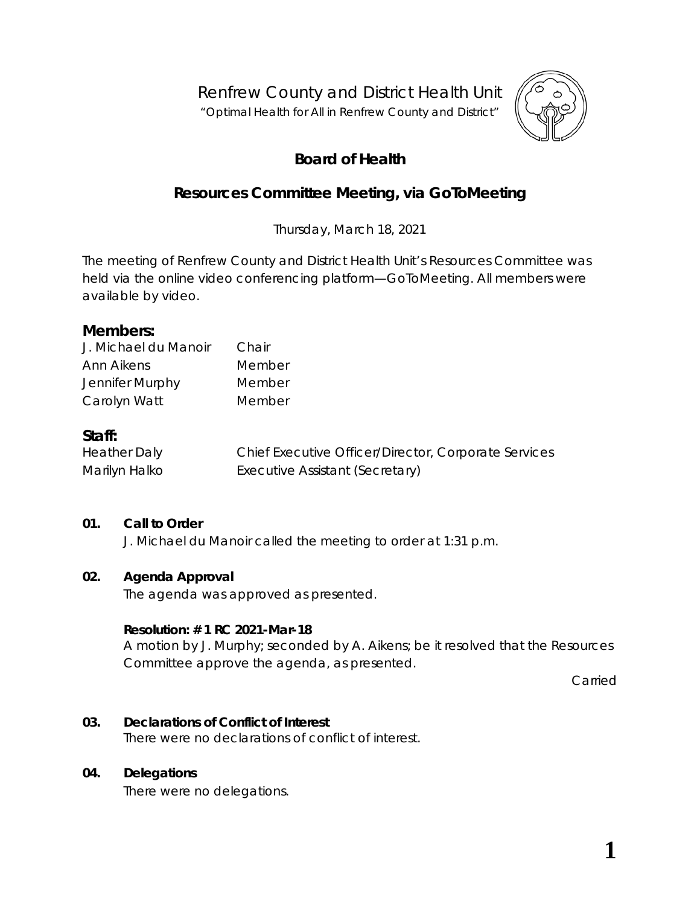Renfrew County and District Health Unit

"*Optimal Health for All in Renfrew County and District"*



# **Board of Health**

# **Resources Committee Meeting, via** *GoToMeeting*

Thursday, March 18, 2021

The meeting of Renfrew County and District Health Unit's Resources Committee was held via the online video conferencing platform—*GoToMeeting*. All members were available by video.

# **Members:**

| J. Michael du Manoir | Chair  |
|----------------------|--------|
| Ann Aikens           | Member |
| Jennifer Murphy      | Member |
| Carolyn Watt         | Member |

# **Staff:**

| <b>Heather Daly</b> | Chief Executive Officer/Director, Corporate Services |
|---------------------|------------------------------------------------------|
| Marilyn Halko       | Executive Assistant (Secretary)                      |

## **01. Call to Order**

J. Michael du Manoir called the meeting to order at 1:31 p.m.

## **02. Agenda Approval**

The agenda was approved as presented.

#### **Resolution: # 1 RC 2021-Mar-18**

A motion by J. Murphy; seconded by A. Aikens; be it resolved that the Resources Committee approve the agenda, as presented.

Carried

## **03. Declarations of Conflict of Interest**

There were no declarations of conflict of interest.

## **04. Delegations**

There were no delegations.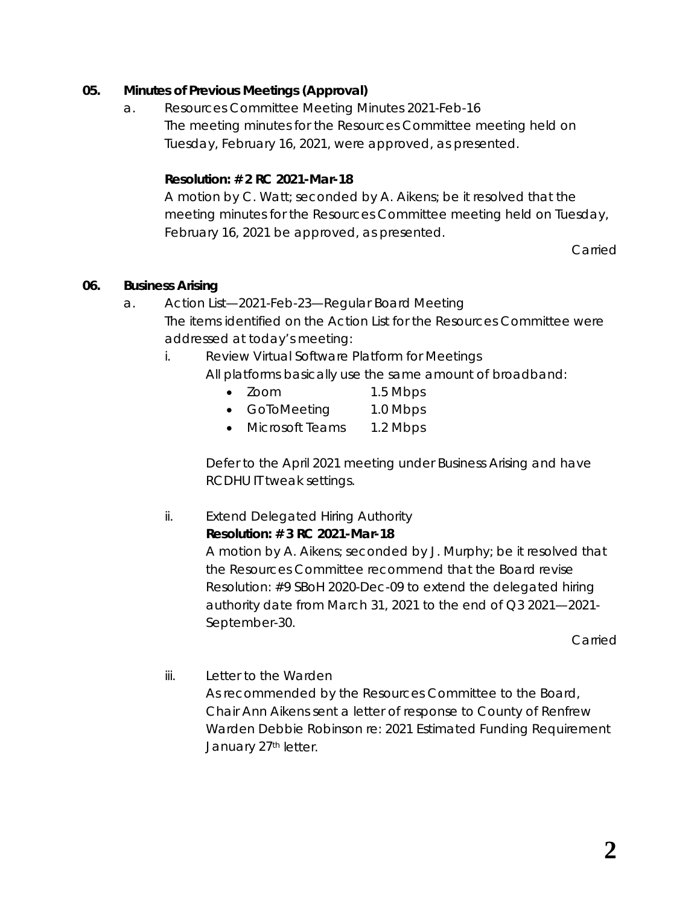# **05. Minutes of Previous Meetings (Approval)**

a. Resources Committee Meeting Minutes 2021-Feb-16 The meeting minutes for the Resources Committee meeting held on Tuesday, February 16, 2021, were approved, as presented.

# **Resolution: # 2 RC 2021-Mar-18**

A motion by C. Watt; seconded by A. Aikens; be it resolved that the meeting minutes for the Resources Committee meeting held on Tuesday, February 16, 2021 be approved, as presented.

Carried

## **06. Business Arising**

- a. Action List—2021-Feb-23—Regular Board Meeting The items identified on the Action List for the Resources Committee were addressed at today's meeting:
	- i. Review Virtual Software Platform for Meetings All platforms basically use the same amount of broadband:
		- Zoom 1.5 Mbps
		- GoToMeeting 1.0 Mbps
		- Microsoft Teams 1.2 Mbps

Defer to the April 2021 meeting under Business Arising and have RCDHU IT tweak settings.

ii. Extend Delegated Hiring Authority **Resolution: # 3 RC 2021-Mar-18** A motion by A. Aikens; seconded by J. Murphy; be it resolved that the Resources Committee recommend that the Board revise Resolution: #9 SBoH 2020-Dec-09 to extend the delegated hiring authority date from March 31, 2021 to the end of Q3 2021—2021- September-30.

Carried

iii. Letter to the Warden As recommended by the Resources Committee to the Board, Chair Ann Aikens sent a letter of response to County of Renfrew Warden Debbie Robinson re: 2021 Estimated Funding Requirement January 27<sup>th</sup> letter.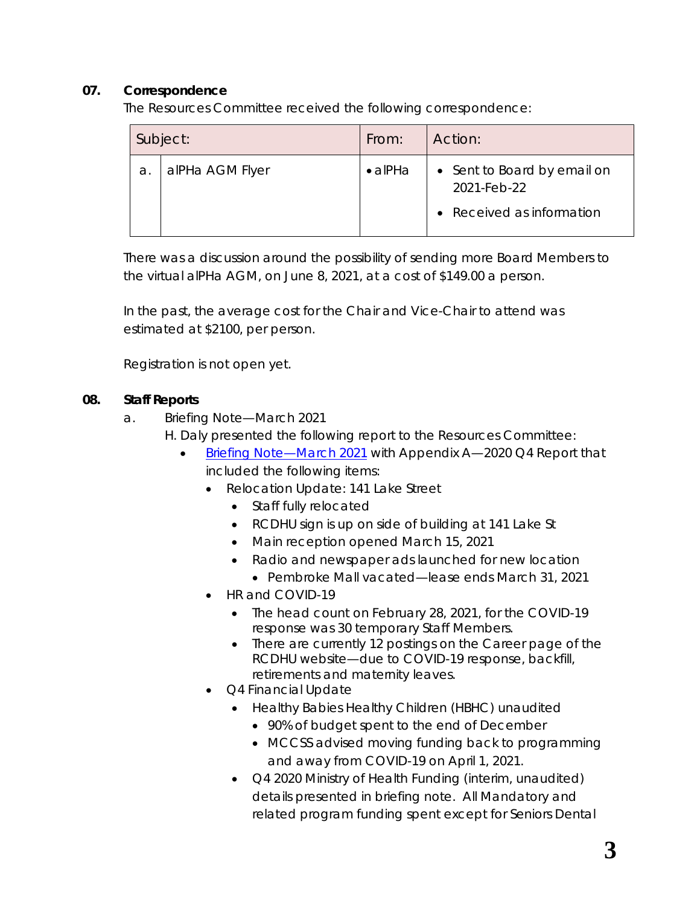# **07. Correspondence**

The Resources Committee received the following correspondence:

|    | Subject:        | From:           | Action:                                                                 |
|----|-----------------|-----------------|-------------------------------------------------------------------------|
| a. | alPHa AGM Flyer | $\bullet$ alPHa | • Sent to Board by email on<br>2021-Feb-22<br>• Received as information |

There was a discussion around the possibility of sending more Board Members to the virtual alPHa AGM, on June 8, 2021, at a cost of \$149.00 a person.

In the past, the average cost for the Chair and Vice-Chair to attend was estimated at \$2100, per person.

Registration is not open yet.

# **08. Staff Reports**

- a. Briefing Note—March 2021
	- H. Daly presented the following report to the Resources Committee:
		- [Briefing Note—March](https://www.rcdhu.com/wp-content/uploads/2021/03/06.-b.-i.-Briefing-Note-March-2021.pdf) 2021 with Appendix A—2020 Q4 Report that included the following items:
			- Relocation Update: 141 Lake Street
				- Staff fully relocated
				- RCDHU sign is up on side of building at 141 Lake St
				- Main reception opened March 15, 2021
				- Radio and newspaper ads launched for new location
					- Pembroke Mall vacated—lease ends March 31, 2021
			- HR and COVID-19
				- The head count on February 28, 2021, for the COVID-19 response was 30 temporary Staff Members.
				- There are currently 12 postings on the Career page of the RCDHU website—due to COVID-19 response, backfill, retirements and maternity leaves.
			- Q4 Financial Update
				- Healthy Babies Healthy Children (HBHC) unaudited
					- 90% of budget spent to the end of December
					- MCCSS advised moving funding back to programming and away from COVID-19 on April 1, 2021.
				- Q4 2020 Ministry of Health Funding (interim, unaudited) details presented in briefing note. All Mandatory and related program funding spent except for Seniors Dental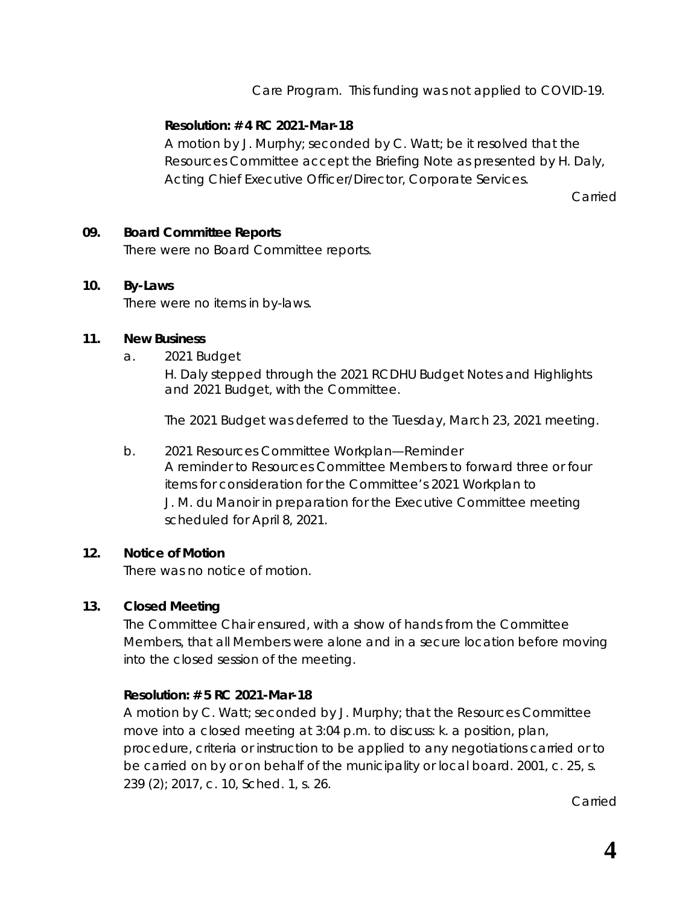Care Program. This funding was not applied to COVID-19.

# **Resolution: # 4 RC 2021-Mar-18**

A motion by J. Murphy; seconded by C. Watt; be it resolved that the Resources Committee accept the Briefing Note as presented by H. Daly, Acting Chief Executive Officer/Director, Corporate Services.

Carried

#### **09. Board Committee Reports**

There were no Board Committee reports.

#### **10. By-Laws**

There were no items in by-laws.

#### **11. New Business**

a. 2021 Budget

H. Daly stepped through the 2021 RCDHU Budget Notes and Highlights and 2021 Budget, with the Committee.

The 2021 Budget was deferred to the Tuesday, March 23, 2021 meeting.

b. 2021 Resources Committee Workplan—Reminder A reminder to Resources Committee Members to forward three or four items for consideration for the Committee's 2021 Workplan to J. M. du Manoir in preparation for the Executive Committee meeting scheduled for April 8, 2021.

#### **12. Notice of Motion**

There was no notice of motion.

## **13. Closed Meeting**

The Committee Chair ensured, with a show of hands from the Committee Members, that all Members were alone and in a secure location before moving into the closed session of the meeting.

## **Resolution: # 5 RC 2021-Mar-18**

A motion by C. Watt; seconded by J. Murphy; that the Resources Committee move into a closed meeting at 3:04 p.m. to discuss: k. a position, plan, procedure, criteria or instruction to be applied to any negotiations carried or to be carried on by or on behalf of the municipality or local board. 2001, c. 25, s. 239 (2); 2017, c. 10, Sched. 1, s. 26.

Carried